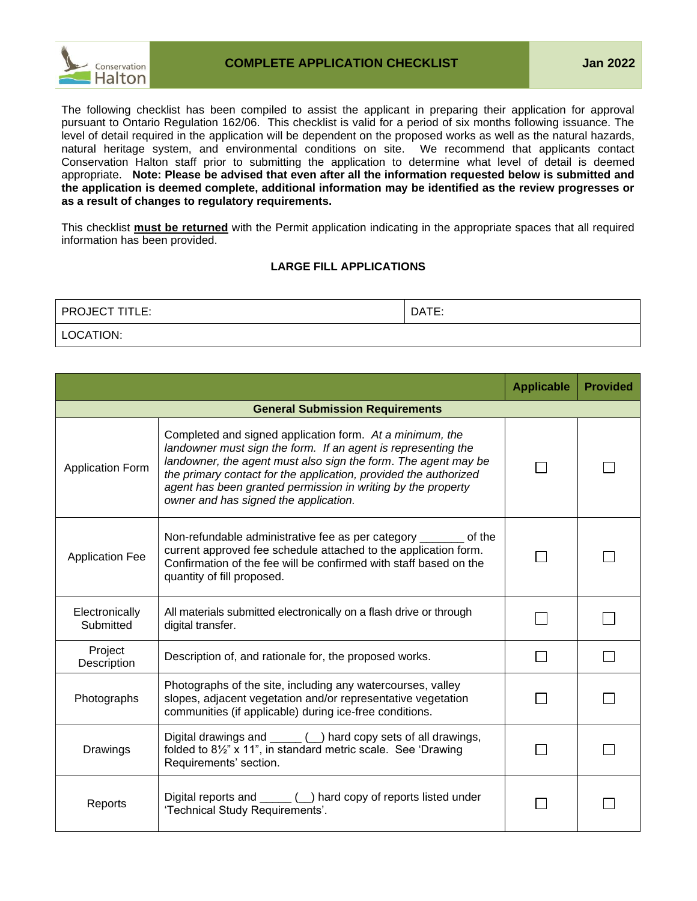

The following checklist has been compiled to assist the applicant in preparing their application for approval pursuant to Ontario Regulation 162/06. This checklist is valid for a period of six months following issuance. The level of detail required in the application will be dependent on the proposed works as well as the natural hazards, natural heritage system, and environmental conditions on site. We recommend that applicants contact Conservation Halton staff prior to submitting the application to determine what level of detail is deemed appropriate. **Note: Please be advised that even after all the information requested below is submitted and the application is deemed complete, additional information may be identified as the review progresses or as a result of changes to regulatory requirements.**

This checklist **must be returned** with the Permit application indicating in the appropriate spaces that all required information has been provided.

## **LARGE FILL APPLICATIONS**

| PROJECT TITLE: | DATE: |
|----------------|-------|
| LOCATION:      |       |

|                                        |                                                                                                                                                                                                                                                                                                                                                                          | <b>Applicable</b> | <b>Provided</b> |
|----------------------------------------|--------------------------------------------------------------------------------------------------------------------------------------------------------------------------------------------------------------------------------------------------------------------------------------------------------------------------------------------------------------------------|-------------------|-----------------|
| <b>General Submission Requirements</b> |                                                                                                                                                                                                                                                                                                                                                                          |                   |                 |
| <b>Application Form</b>                | Completed and signed application form. At a minimum, the<br>landowner must sign the form. If an agent is representing the<br>landowner, the agent must also sign the form. The agent may be<br>the primary contact for the application, provided the authorized<br>agent has been granted permission in writing by the property<br>owner and has signed the application. |                   |                 |
| <b>Application Fee</b>                 | Non-refundable administrative fee as per category ________ of the<br>current approved fee schedule attached to the application form.<br>Confirmation of the fee will be confirmed with staff based on the<br>quantity of fill proposed.                                                                                                                                  |                   |                 |
| Electronically<br>Submitted            | All materials submitted electronically on a flash drive or through<br>digital transfer.                                                                                                                                                                                                                                                                                  |                   |                 |
| Project<br>Description                 | Description of, and rationale for, the proposed works.                                                                                                                                                                                                                                                                                                                   |                   |                 |
| Photographs                            | Photographs of the site, including any watercourses, valley<br>slopes, adjacent vegetation and/or representative vegetation<br>communities (if applicable) during ice-free conditions.                                                                                                                                                                                   |                   |                 |
| Drawings                               | Digital drawings and _____ (_) hard copy sets of all drawings,<br>folded to 81/2" x 11", in standard metric scale. See 'Drawing<br>Requirements' section.                                                                                                                                                                                                                |                   |                 |
| Reports                                | Digital reports and ______ (_) hard copy of reports listed under<br>'Technical Study Requirements'.                                                                                                                                                                                                                                                                      |                   |                 |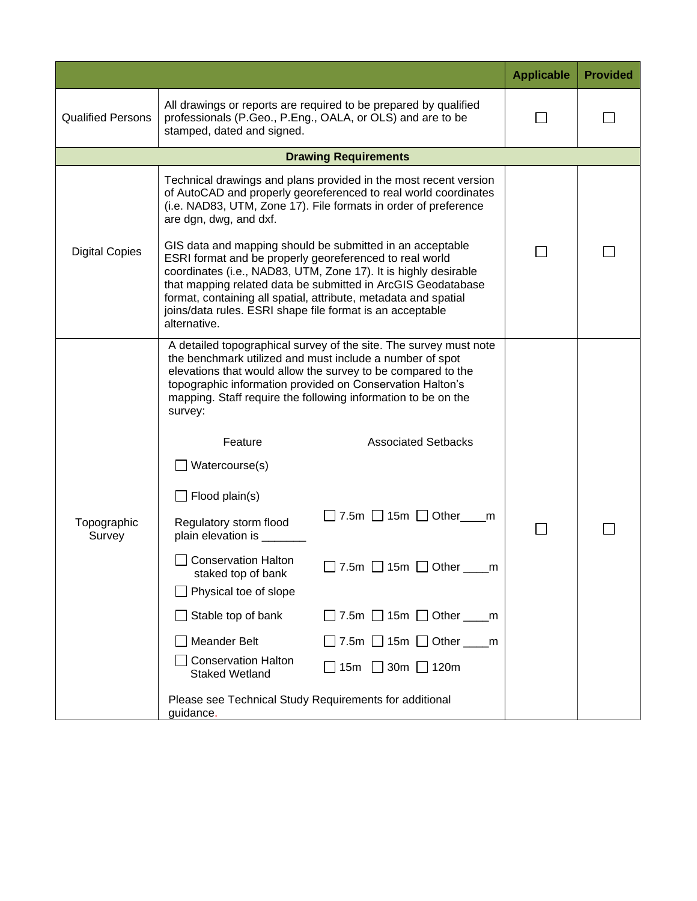|                          |                                                                                                                                                                                                                                                                                                                                            |                                                                                                                                                                                                                                                                                                                                                           | <b>Applicable</b> | <b>Provided</b> |
|--------------------------|--------------------------------------------------------------------------------------------------------------------------------------------------------------------------------------------------------------------------------------------------------------------------------------------------------------------------------------------|-----------------------------------------------------------------------------------------------------------------------------------------------------------------------------------------------------------------------------------------------------------------------------------------------------------------------------------------------------------|-------------------|-----------------|
| <b>Qualified Persons</b> | All drawings or reports are required to be prepared by qualified<br>professionals (P.Geo., P.Eng., OALA, or OLS) and are to be<br>stamped, dated and signed.                                                                                                                                                                               |                                                                                                                                                                                                                                                                                                                                                           |                   |                 |
|                          |                                                                                                                                                                                                                                                                                                                                            | <b>Drawing Requirements</b>                                                                                                                                                                                                                                                                                                                               |                   |                 |
|                          | Technical drawings and plans provided in the most recent version<br>of AutoCAD and properly georeferenced to real world coordinates<br>(i.e. NAD83, UTM, Zone 17). File formats in order of preference<br>are dgn, dwg, and dxf.<br>GIS data and mapping should be submitted in an acceptable                                              |                                                                                                                                                                                                                                                                                                                                                           |                   |                 |
| <b>Digital Copies</b>    | ESRI format and be properly georeferenced to real world<br>coordinates (i.e., NAD83, UTM, Zone 17). It is highly desirable<br>that mapping related data be submitted in ArcGIS Geodatabase<br>format, containing all spatial, attribute, metadata and spatial<br>joins/data rules. ESRI shape file format is an acceptable<br>alternative. |                                                                                                                                                                                                                                                                                                                                                           |                   |                 |
|                          | survey:<br>Feature                                                                                                                                                                                                                                                                                                                         | A detailed topographical survey of the site. The survey must note<br>the benchmark utilized and must include a number of spot<br>elevations that would allow the survey to be compared to the<br>topographic information provided on Conservation Halton's<br>mapping. Staff require the following information to be on the<br><b>Associated Setbacks</b> |                   |                 |
| Topographic<br>Survey    | Watercourse(s)<br>Flood plain(s)<br>Regulatory storm flood<br>plain elevation is _<br><b>Conservation Halton</b><br>staked top of bank<br>Physical toe of slope                                                                                                                                                                            | $\Box$ 7.5m $\Box$ 15m $\Box$ Other ___<br>m<br>$\Box$ 7.5m $\Box$ 15m $\Box$ Other $\_$<br>m                                                                                                                                                                                                                                                             |                   |                 |
|                          | Stable top of bank<br><b>Meander Belt</b><br><b>Conservation Halton</b><br><b>Staked Wetland</b>                                                                                                                                                                                                                                           | $\Box$ 7.5m $\Box$ 15m $\Box$ Other _____m<br>$\Box$ 7.5m $\Box$ 15m $\Box$ Other ____m<br>$\Box$ 15m $\Box$ 30m $\Box$ 120m                                                                                                                                                                                                                              |                   |                 |
|                          | Please see Technical Study Requirements for additional<br>guidance.                                                                                                                                                                                                                                                                        |                                                                                                                                                                                                                                                                                                                                                           |                   |                 |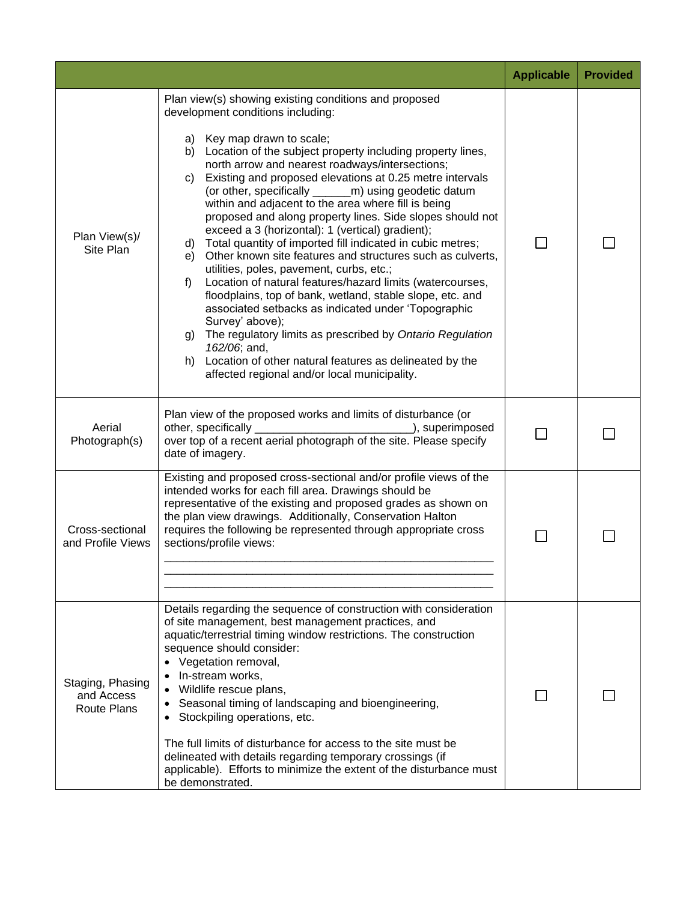|                                                      |                                                                                                                                                                                                                                                                                                                                                                                                                                                                                                                                                                                                                                                                                                                                                                                                                                                                                                                                                                                                                                                                                                                                           | <b>Applicable</b> | <b>Provided</b> |
|------------------------------------------------------|-------------------------------------------------------------------------------------------------------------------------------------------------------------------------------------------------------------------------------------------------------------------------------------------------------------------------------------------------------------------------------------------------------------------------------------------------------------------------------------------------------------------------------------------------------------------------------------------------------------------------------------------------------------------------------------------------------------------------------------------------------------------------------------------------------------------------------------------------------------------------------------------------------------------------------------------------------------------------------------------------------------------------------------------------------------------------------------------------------------------------------------------|-------------------|-----------------|
| Plan View(s)/<br>Site Plan                           | Plan view(s) showing existing conditions and proposed<br>development conditions including:<br>a) Key map drawn to scale;<br>b) Location of the subject property including property lines,<br>north arrow and nearest roadways/intersections;<br>Existing and proposed elevations at 0.25 metre intervals<br>C)<br>(or other, specifically _________ m) using geodetic datum<br>within and adjacent to the area where fill is being<br>proposed and along property lines. Side slopes should not<br>exceed a 3 (horizontal): 1 (vertical) gradient);<br>d) Total quantity of imported fill indicated in cubic metres;<br>e) Other known site features and structures such as culverts,<br>utilities, poles, pavement, curbs, etc.;<br>Location of natural features/hazard limits (watercourses,<br>f)<br>floodplains, top of bank, wetland, stable slope, etc. and<br>associated setbacks as indicated under 'Topographic<br>Survey' above);<br>g) The regulatory limits as prescribed by Ontario Regulation<br>162/06; and,<br>h) Location of other natural features as delineated by the<br>affected regional and/or local municipality. |                   |                 |
| Aerial<br>Photograph(s)                              | Plan view of the proposed works and limits of disturbance (or<br>other, specifically<br>), superimposed<br>over top of a recent aerial photograph of the site. Please specify<br>date of imagery.                                                                                                                                                                                                                                                                                                                                                                                                                                                                                                                                                                                                                                                                                                                                                                                                                                                                                                                                         |                   |                 |
| Cross-sectional<br>and Profile Views                 | Existing and proposed cross-sectional and/or profile views of the<br>intended works for each fill area. Drawings should be<br>representative of the existing and proposed grades as shown on<br>the plan view drawings. Additionally, Conservation Halton<br>requires the following be represented through appropriate cross<br>sections/profile views:                                                                                                                                                                                                                                                                                                                                                                                                                                                                                                                                                                                                                                                                                                                                                                                   |                   |                 |
| Staging, Phasing<br>and Access<br><b>Route Plans</b> | Details regarding the sequence of construction with consideration<br>of site management, best management practices, and<br>aquatic/terrestrial timing window restrictions. The construction<br>sequence should consider:<br>• Vegetation removal,<br>In-stream works,<br>Wildlife rescue plans,<br>$\bullet$<br>Seasonal timing of landscaping and bioengineering,<br>Stockpiling operations, etc.<br>The full limits of disturbance for access to the site must be<br>delineated with details regarding temporary crossings (if<br>applicable). Efforts to minimize the extent of the disturbance must<br>be demonstrated.                                                                                                                                                                                                                                                                                                                                                                                                                                                                                                               |                   |                 |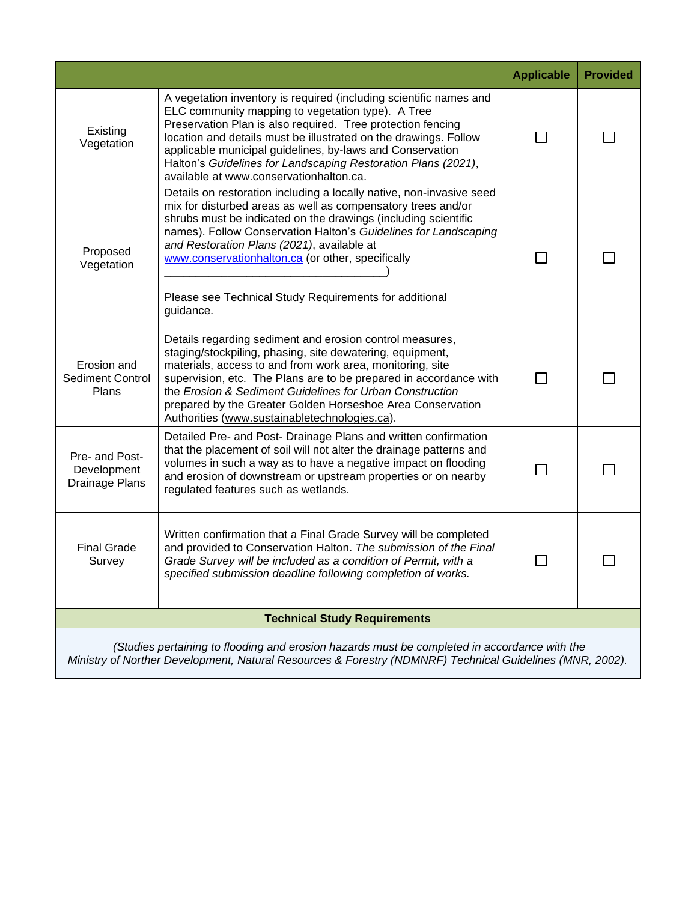|                                                                                                                                                                                                          |                                                                                                                                                                                                                                                                                                                                                                                                                                                     | <b>Applicable</b> | <b>Provided</b> |  |
|----------------------------------------------------------------------------------------------------------------------------------------------------------------------------------------------------------|-----------------------------------------------------------------------------------------------------------------------------------------------------------------------------------------------------------------------------------------------------------------------------------------------------------------------------------------------------------------------------------------------------------------------------------------------------|-------------------|-----------------|--|
| Existing<br>Vegetation                                                                                                                                                                                   | A vegetation inventory is required (including scientific names and<br>ELC community mapping to vegetation type). A Tree<br>Preservation Plan is also required. Tree protection fencing<br>location and details must be illustrated on the drawings. Follow<br>applicable municipal guidelines, by-laws and Conservation<br>Halton's Guidelines for Landscaping Restoration Plans (2021),<br>available at www.conservationhalton.ca.                 |                   |                 |  |
| Proposed<br>Vegetation                                                                                                                                                                                   | Details on restoration including a locally native, non-invasive seed<br>mix for disturbed areas as well as compensatory trees and/or<br>shrubs must be indicated on the drawings (including scientific<br>names). Follow Conservation Halton's Guidelines for Landscaping<br>and Restoration Plans (2021), available at<br>www.conservationhalton.ca (or other, specifically<br>Please see Technical Study Requirements for additional<br>guidance. |                   |                 |  |
| Erosion and<br><b>Sediment Control</b><br>Plans                                                                                                                                                          | Details regarding sediment and erosion control measures,<br>staging/stockpiling, phasing, site dewatering, equipment,<br>materials, access to and from work area, monitoring, site<br>supervision, etc. The Plans are to be prepared in accordance with<br>the Erosion & Sediment Guidelines for Urban Construction<br>prepared by the Greater Golden Horseshoe Area Conservation<br>Authorities (www.sustainabletechnologies.ca).                  |                   |                 |  |
| Pre- and Post-<br>Development<br><b>Drainage Plans</b>                                                                                                                                                   | Detailed Pre- and Post- Drainage Plans and written confirmation<br>that the placement of soil will not alter the drainage patterns and<br>volumes in such a way as to have a negative impact on flooding<br>and erosion of downstream or upstream properties or on nearby<br>regulated features such as wetlands.                                                                                                                                   |                   |                 |  |
| <b>Final Grade</b><br>Survey                                                                                                                                                                             | Written confirmation that a Final Grade Survey will be completed<br>and provided to Conservation Halton. The submission of the Final<br>Grade Survey will be included as a condition of Permit, with a<br>specified submission deadline following completion of works.                                                                                                                                                                              |                   |                 |  |
|                                                                                                                                                                                                          | <b>Technical Study Requirements</b>                                                                                                                                                                                                                                                                                                                                                                                                                 |                   |                 |  |
| (Studies pertaining to flooding and erosion hazards must be completed in accordance with the<br>Ministry of Norther Development, Natural Resources & Forestry (NDMNRF) Technical Guidelines (MNR, 2002). |                                                                                                                                                                                                                                                                                                                                                                                                                                                     |                   |                 |  |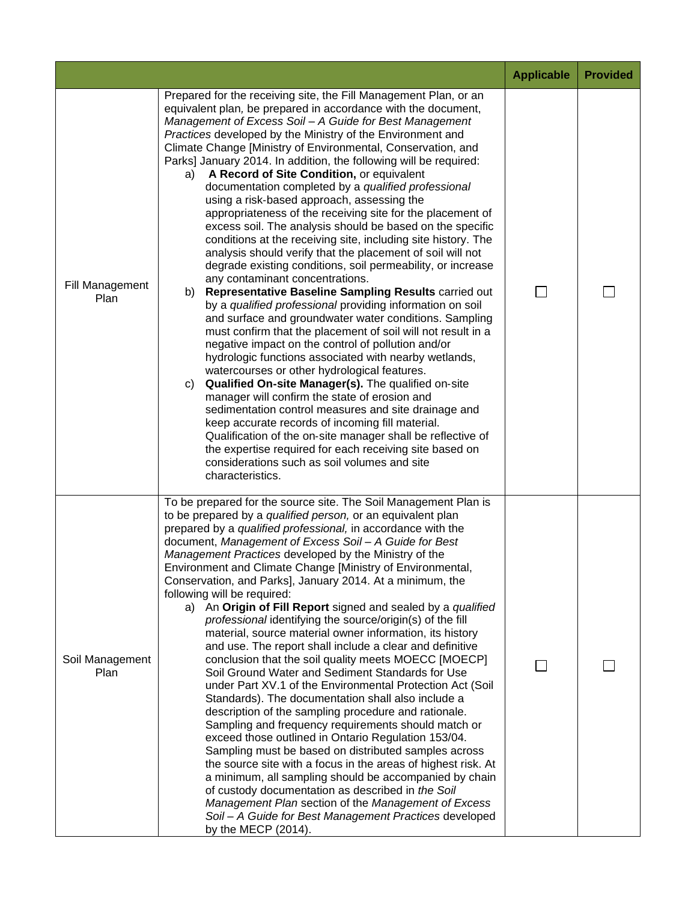|                         |                                                                                                                                                                                                                                                                                                                                                                                                                                                                                                                                                                                                                                                                                                                                                                                                                                                                                                                                                                                                                                                                                                                                                                                                                                                                                                                                                                                                                                                                                                                                                                                                                                                                                                                                                                 | <b>Applicable</b> | <b>Provided</b> |
|-------------------------|-----------------------------------------------------------------------------------------------------------------------------------------------------------------------------------------------------------------------------------------------------------------------------------------------------------------------------------------------------------------------------------------------------------------------------------------------------------------------------------------------------------------------------------------------------------------------------------------------------------------------------------------------------------------------------------------------------------------------------------------------------------------------------------------------------------------------------------------------------------------------------------------------------------------------------------------------------------------------------------------------------------------------------------------------------------------------------------------------------------------------------------------------------------------------------------------------------------------------------------------------------------------------------------------------------------------------------------------------------------------------------------------------------------------------------------------------------------------------------------------------------------------------------------------------------------------------------------------------------------------------------------------------------------------------------------------------------------------------------------------------------------------|-------------------|-----------------|
| Fill Management<br>Plan | Prepared for the receiving site, the Fill Management Plan, or an<br>equivalent plan, be prepared in accordance with the document,<br>Management of Excess Soil - A Guide for Best Management<br>Practices developed by the Ministry of the Environment and<br>Climate Change [Ministry of Environmental, Conservation, and<br>Parks] January 2014. In addition, the following will be required:<br>A Record of Site Condition, or equivalent<br>a)<br>documentation completed by a qualified professional<br>using a risk-based approach, assessing the<br>appropriateness of the receiving site for the placement of<br>excess soil. The analysis should be based on the specific<br>conditions at the receiving site, including site history. The<br>analysis should verify that the placement of soil will not<br>degrade existing conditions, soil permeability, or increase<br>any contaminant concentrations.<br>Representative Baseline Sampling Results carried out<br>b)<br>by a qualified professional providing information on soil<br>and surface and groundwater water conditions. Sampling<br>must confirm that the placement of soil will not result in a<br>negative impact on the control of pollution and/or<br>hydrologic functions associated with nearby wetlands,<br>watercourses or other hydrological features.<br>Qualified On-site Manager(s). The qualified on-site<br>C)<br>manager will confirm the state of erosion and<br>sedimentation control measures and site drainage and<br>keep accurate records of incoming fill material.<br>Qualification of the on-site manager shall be reflective of<br>the expertise required for each receiving site based on<br>considerations such as soil volumes and site<br>characteristics. |                   |                 |
| Soil Management<br>Plan | To be prepared for the source site. The Soil Management Plan is<br>to be prepared by a qualified person, or an equivalent plan<br>prepared by a qualified professional, in accordance with the<br>document, Management of Excess Soil - A Guide for Best<br>Management Practices developed by the Ministry of the<br>Environment and Climate Change [Ministry of Environmental,<br>Conservation, and Parks], January 2014. At a minimum, the<br>following will be required:<br>An Origin of Fill Report signed and sealed by a qualified<br>a)<br>professional identifying the source/origin(s) of the fill<br>material, source material owner information, its history<br>and use. The report shall include a clear and definitive<br>conclusion that the soil quality meets MOECC [MOECP]<br>Soil Ground Water and Sediment Standards for Use<br>under Part XV.1 of the Environmental Protection Act (Soil<br>Standards). The documentation shall also include a<br>description of the sampling procedure and rationale.<br>Sampling and frequency requirements should match or<br>exceed those outlined in Ontario Regulation 153/04.<br>Sampling must be based on distributed samples across<br>the source site with a focus in the areas of highest risk. At<br>a minimum, all sampling should be accompanied by chain<br>of custody documentation as described in the Soil<br>Management Plan section of the Management of Excess<br>Soil - A Guide for Best Management Practices developed<br>by the MECP (2014).                                                                                                                                                                                                                                        |                   |                 |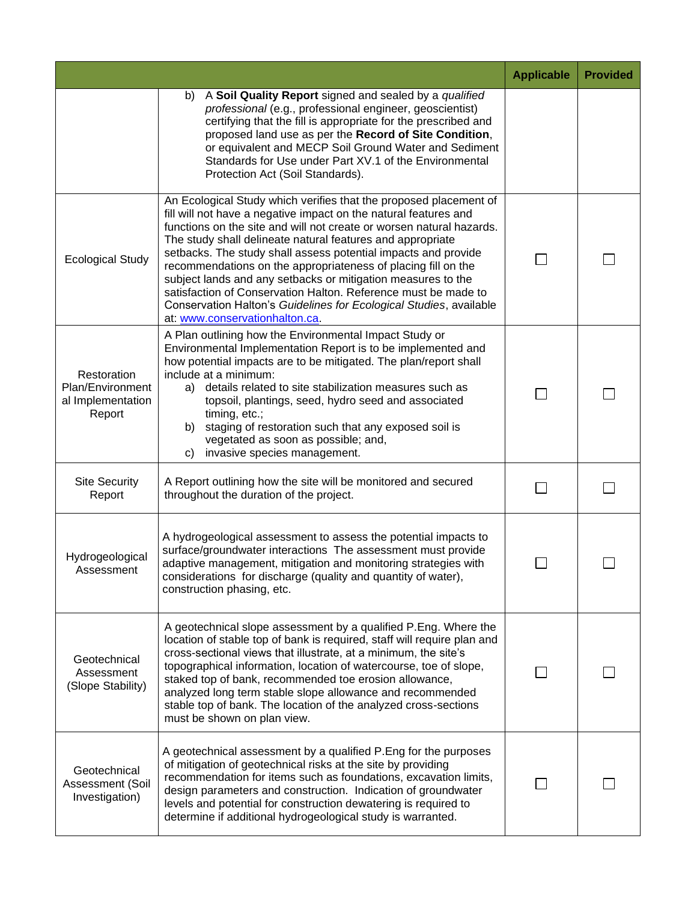|                                                                |                                                                                                                                                                                                                                                                                                                                                                                                                                                                                                                                                                                                                                                          | <b>Applicable</b> | <b>Provided</b> |
|----------------------------------------------------------------|----------------------------------------------------------------------------------------------------------------------------------------------------------------------------------------------------------------------------------------------------------------------------------------------------------------------------------------------------------------------------------------------------------------------------------------------------------------------------------------------------------------------------------------------------------------------------------------------------------------------------------------------------------|-------------------|-----------------|
|                                                                | A Soil Quality Report signed and sealed by a qualified<br>b)<br>professional (e.g., professional engineer, geoscientist)<br>certifying that the fill is appropriate for the prescribed and<br>proposed land use as per the Record of Site Condition,<br>or equivalent and MECP Soil Ground Water and Sediment<br>Standards for Use under Part XV.1 of the Environmental<br>Protection Act (Soil Standards).                                                                                                                                                                                                                                              |                   |                 |
| <b>Ecological Study</b>                                        | An Ecological Study which verifies that the proposed placement of<br>fill will not have a negative impact on the natural features and<br>functions on the site and will not create or worsen natural hazards.<br>The study shall delineate natural features and appropriate<br>setbacks. The study shall assess potential impacts and provide<br>recommendations on the appropriateness of placing fill on the<br>subject lands and any setbacks or mitigation measures to the<br>satisfaction of Conservation Halton. Reference must be made to<br>Conservation Halton's Guidelines for Ecological Studies, available<br>at: www.conservationhalton.ca. |                   |                 |
| Restoration<br>Plan/Environment<br>al Implementation<br>Report | A Plan outlining how the Environmental Impact Study or<br>Environmental Implementation Report is to be implemented and<br>how potential impacts are to be mitigated. The plan/report shall<br>include at a minimum:<br>details related to site stabilization measures such as<br>a)<br>topsoil, plantings, seed, hydro seed and associated<br>timing, etc.;<br>staging of restoration such that any exposed soil is<br>b)<br>vegetated as soon as possible; and,<br>invasive species management.<br>C)                                                                                                                                                   |                   |                 |
| <b>Site Security</b><br>Report                                 | A Report outlining how the site will be monitored and secured<br>throughout the duration of the project.                                                                                                                                                                                                                                                                                                                                                                                                                                                                                                                                                 |                   |                 |
| Hydrogeological<br>Assessment                                  | A hydrogeological assessment to assess the potential impacts to<br>surface/groundwater interactions The assessment must provide<br>adaptive management, mitigation and monitoring strategies with<br>considerations for discharge (quality and quantity of water),<br>construction phasing, etc.                                                                                                                                                                                                                                                                                                                                                         |                   |                 |
| Geotechnical<br>Assessment<br>(Slope Stability)                | A geotechnical slope assessment by a qualified P.Eng. Where the<br>location of stable top of bank is required, staff will require plan and<br>cross-sectional views that illustrate, at a minimum, the site's<br>topographical information, location of watercourse, toe of slope,<br>staked top of bank, recommended toe erosion allowance,<br>analyzed long term stable slope allowance and recommended<br>stable top of bank. The location of the analyzed cross-sections<br>must be shown on plan view.                                                                                                                                              |                   |                 |
| Geotechnical<br>Assessment (Soil<br>Investigation)             | A geotechnical assessment by a qualified P.Eng for the purposes<br>of mitigation of geotechnical risks at the site by providing<br>recommendation for items such as foundations, excavation limits,<br>design parameters and construction. Indication of groundwater<br>levels and potential for construction dewatering is required to<br>determine if additional hydrogeological study is warranted.                                                                                                                                                                                                                                                   |                   |                 |